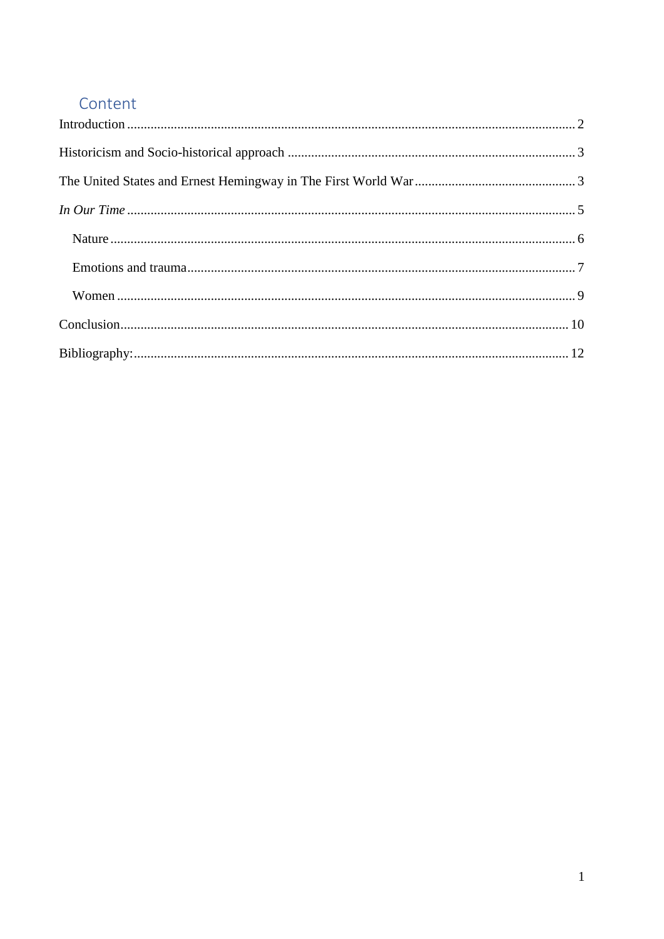# Content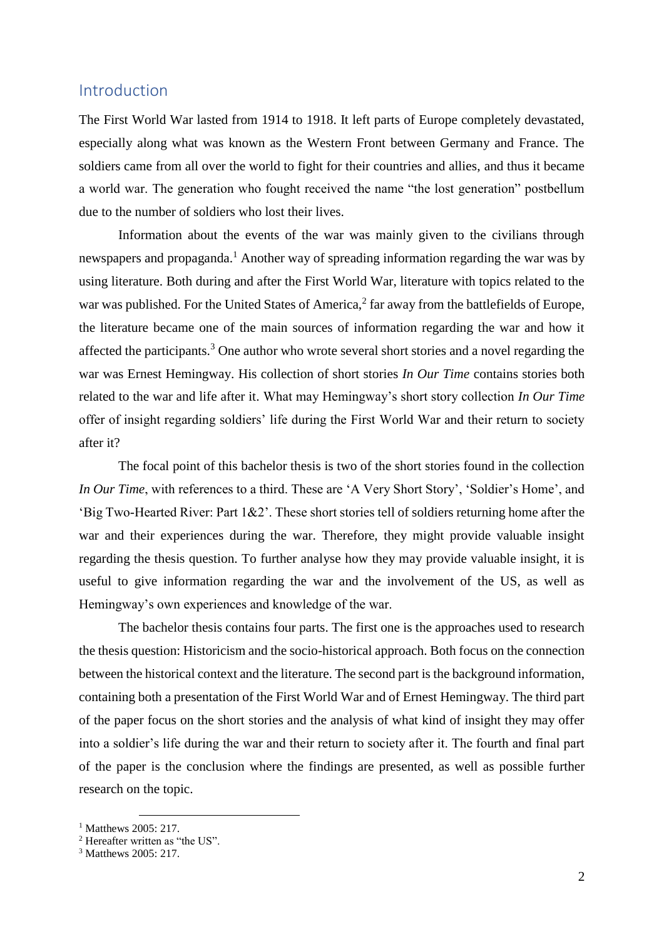### <span id="page-1-0"></span>Introduction

The First World War lasted from 1914 to 1918. It left parts of Europe completely devastated, especially along what was known as the Western Front between Germany and France. The soldiers came from all over the world to fight for their countries and allies, and thus it became a world war. The generation who fought received the name "the lost generation" postbellum due to the number of soldiers who lost their lives.

Information about the events of the war was mainly given to the civilians through newspapers and propaganda.<sup>1</sup> Another way of spreading information regarding the war was by using literature. Both during and after the First World War, literature with topics related to the war was published. For the United States of America, $^2$  far away from the battlefields of Europe, the literature became one of the main sources of information regarding the war and how it affected the participants.<sup>3</sup> One author who wrote several short stories and a novel regarding the war was Ernest Hemingway. His collection of short stories *In Our Time* contains stories both related to the war and life after it. What may Hemingway's short story collection *In Our Time* offer of insight regarding soldiers' life during the First World War and their return to society after it?

The focal point of this bachelor thesis is two of the short stories found in the collection *In Our Time*, with references to a third. These are 'A Very Short Story', 'Soldier's Home', and 'Big Two-Hearted River: Part 1&2'. These short stories tell of soldiers returning home after the war and their experiences during the war. Therefore, they might provide valuable insight regarding the thesis question. To further analyse how they may provide valuable insight, it is useful to give information regarding the war and the involvement of the US, as well as Hemingway's own experiences and knowledge of the war.

The bachelor thesis contains four parts. The first one is the approaches used to research the thesis question: Historicism and the socio-historical approach. Both focus on the connection between the historical context and the literature. The second part is the background information, containing both a presentation of the First World War and of Ernest Hemingway. The third part of the paper focus on the short stories and the analysis of what kind of insight they may offer into a soldier's life during the war and their return to society after it. The fourth and final part of the paper is the conclusion where the findings are presented, as well as possible further research on the topic.

 $\overline{a}$ 

<sup>&</sup>lt;sup>1</sup> Matthews 2005: 217.

<sup>2</sup> Hereafter written as "the US".

<sup>3</sup> Matthews 2005: 217.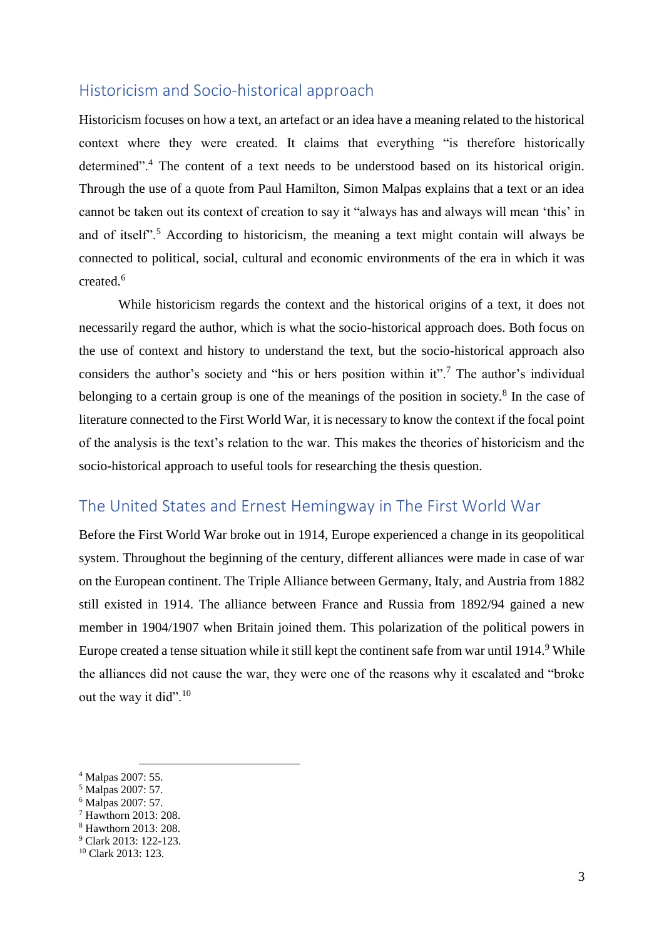### <span id="page-2-0"></span>Historicism and Socio-historical approach

Historicism focuses on how a text, an artefact or an idea have a meaning related to the historical context where they were created. It claims that everything "is therefore historically determined"<sup>4</sup>. The content of a text needs to be understood based on its historical origin. Through the use of a quote from Paul Hamilton, Simon Malpas explains that a text or an idea cannot be taken out its context of creation to say it "always has and always will mean 'this' in and of itself".<sup>5</sup> According to historicism, the meaning a text might contain will always be connected to political, social, cultural and economic environments of the era in which it was created.<sup>6</sup>

While historicism regards the context and the historical origins of a text, it does not necessarily regard the author, which is what the socio-historical approach does. Both focus on the use of context and history to understand the text, but the socio-historical approach also considers the author's society and "his or hers position within it".<sup>7</sup> The author's individual belonging to a certain group is one of the meanings of the position in society. $\delta$  In the case of literature connected to the First World War, it is necessary to know the context if the focal point of the analysis is the text's relation to the war. This makes the theories of historicism and the socio-historical approach to useful tools for researching the thesis question.

## <span id="page-2-1"></span>The United States and Ernest Hemingway in The First World War

Before the First World War broke out in 1914, Europe experienced a change in its geopolitical system. Throughout the beginning of the century, different alliances were made in case of war on the European continent. The Triple Alliance between Germany, Italy, and Austria from 1882 still existed in 1914. The alliance between France and Russia from 1892/94 gained a new member in 1904/1907 when Britain joined them. This polarization of the political powers in Europe created a tense situation while it still kept the continent safe from war until 1914.<sup>9</sup> While the alliances did not cause the war, they were one of the reasons why it escalated and "broke out the way it did".<sup>10</sup>

 $\overline{a}$ 

<sup>4</sup> Malpas 2007: 55.

<sup>5</sup> Malpas 2007: 57.

<sup>6</sup> Malpas 2007: 57.

<sup>7</sup> Hawthorn 2013: 208.

<sup>8</sup> Hawthorn 2013: 208.

<sup>9</sup> Clark 2013: 122-123.

<sup>10</sup> Clark 2013: 123.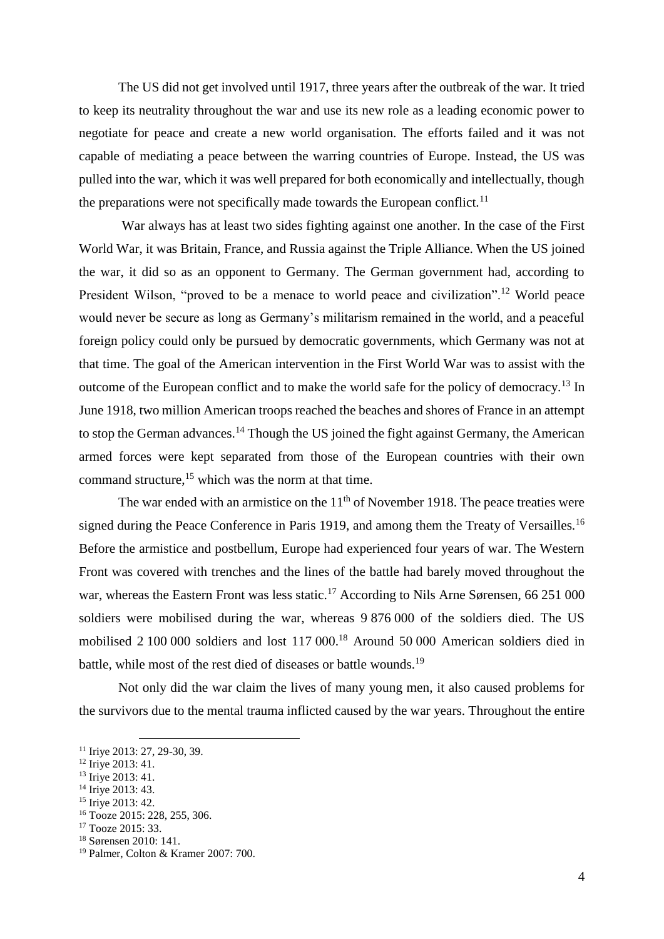The US did not get involved until 1917, three years after the outbreak of the war. It tried to keep its neutrality throughout the war and use its new role as a leading economic power to negotiate for peace and create a new world organisation. The efforts failed and it was not capable of mediating a peace between the warring countries of Europe. Instead, the US was pulled into the war, which it was well prepared for both economically and intellectually, though the preparations were not specifically made towards the European conflict.<sup>11</sup>

War always has at least two sides fighting against one another. In the case of the First World War, it was Britain, France, and Russia against the Triple Alliance. When the US joined the war, it did so as an opponent to Germany. The German government had, according to President Wilson, "proved to be a menace to world peace and civilization".<sup>12</sup> World peace would never be secure as long as Germany's militarism remained in the world, and a peaceful foreign policy could only be pursued by democratic governments, which Germany was not at that time. The goal of the American intervention in the First World War was to assist with the outcome of the European conflict and to make the world safe for the policy of democracy.<sup>13</sup> In June 1918, two million American troops reached the beaches and shores of France in an attempt to stop the German advances.<sup>14</sup> Though the US joined the fight against Germany, the American armed forces were kept separated from those of the European countries with their own command structure,<sup>15</sup> which was the norm at that time.

The war ended with an armistice on the  $11<sup>th</sup>$  of November 1918. The peace treaties were signed during the Peace Conference in Paris 1919, and among them the Treaty of Versailles.<sup>16</sup> Before the armistice and postbellum, Europe had experienced four years of war. The Western Front was covered with trenches and the lines of the battle had barely moved throughout the war, whereas the Eastern Front was less static.<sup>17</sup> According to Nils Arne Sørensen, 66 251 000 soldiers were mobilised during the war, whereas 9 876 000 of the soldiers died. The US mobilised 2 100 000 soldiers and lost 117 000.<sup>18</sup> Around 50 000 American soldiers died in battle, while most of the rest died of diseases or battle wounds.<sup>19</sup>

Not only did the war claim the lives of many young men, it also caused problems for the survivors due to the mental trauma inflicted caused by the war years. Throughout the entire

 $\overline{a}$ <sup>11</sup> Iriye 2013: 27, 29-30, 39.

 $12$  Irive 2013: 41.

 $13$  Irive 2013: 41.

<sup>&</sup>lt;sup>14</sup> Iriye 2013: 43.

<sup>&</sup>lt;sup>15</sup> Iriye 2013: 42.

<sup>16</sup> Tooze 2015: 228, 255, 306.

<sup>&</sup>lt;sup>17</sup> Tooze 2015: 33.

<sup>18</sup> Sørensen 2010: 141.

<sup>19</sup> Palmer, Colton & Kramer 2007: 700.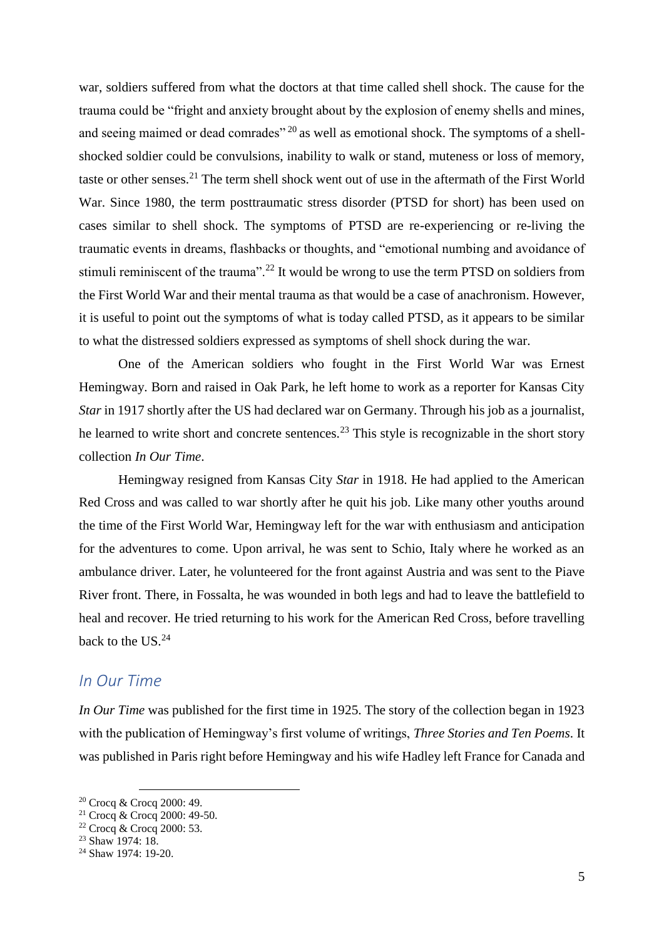war, soldiers suffered from what the doctors at that time called shell shock. The cause for the trauma could be "fright and anxiety brought about by the explosion of enemy shells and mines, and seeing maimed or dead comrades"  $^{20}$  as well as emotional shock. The symptoms of a shellshocked soldier could be convulsions, inability to walk or stand, muteness or loss of memory, taste or other senses.<sup>21</sup> The term shell shock went out of use in the aftermath of the First World War. Since 1980, the term posttraumatic stress disorder (PTSD for short) has been used on cases similar to shell shock. The symptoms of PTSD are re-experiencing or re-living the traumatic events in dreams, flashbacks or thoughts, and "emotional numbing and avoidance of stimuli reminiscent of the trauma".<sup>22</sup> It would be wrong to use the term PTSD on soldiers from the First World War and their mental trauma as that would be a case of anachronism. However, it is useful to point out the symptoms of what is today called PTSD, as it appears to be similar to what the distressed soldiers expressed as symptoms of shell shock during the war.

One of the American soldiers who fought in the First World War was Ernest Hemingway. Born and raised in Oak Park, he left home to work as a reporter for Kansas City *Star* in 1917 shortly after the US had declared war on Germany. Through his job as a journalist, he learned to write short and concrete sentences.<sup>23</sup> This style is recognizable in the short story collection *In Our Time*.

Hemingway resigned from Kansas City *Star* in 1918. He had applied to the American Red Cross and was called to war shortly after he quit his job. Like many other youths around the time of the First World War, Hemingway left for the war with enthusiasm and anticipation for the adventures to come. Upon arrival, he was sent to Schio, Italy where he worked as an ambulance driver. Later, he volunteered for the front against Austria and was sent to the Piave River front. There, in Fossalta, he was wounded in both legs and had to leave the battlefield to heal and recover. He tried returning to his work for the American Red Cross, before travelling back to the US.<sup>24</sup>

### <span id="page-4-0"></span>*In Our Time*

*In Our Time* was published for the first time in 1925. The story of the collection began in 1923 with the publication of Hemingway's first volume of writings, *Three Stories and Ten Poems*. It was published in Paris right before Hemingway and his wife Hadley left France for Canada and

 $\overline{a}$ <sup>20</sup> Crocq & Crocq 2000: 49.

<sup>21</sup> Crocq & Crocq 2000: 49-50.

<sup>22</sup> Crocq & Crocq 2000: 53.

<sup>&</sup>lt;sup>23</sup> Shaw 1974: 18.

<sup>24</sup> Shaw 1974: 19-20.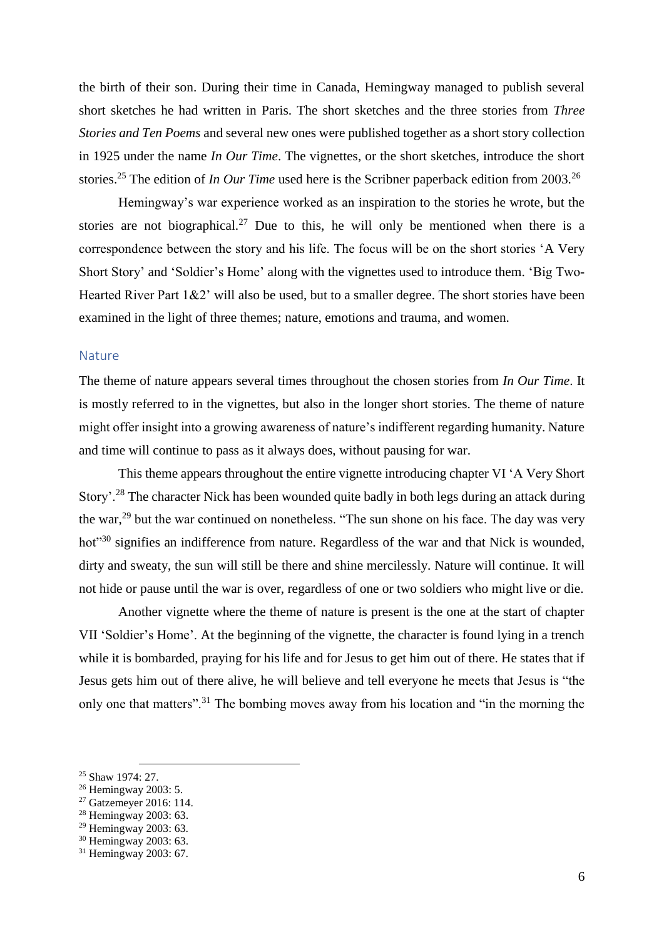the birth of their son. During their time in Canada, Hemingway managed to publish several short sketches he had written in Paris. The short sketches and the three stories from *Three Stories and Ten Poems* and several new ones were published together as a short story collection in 1925 under the name *In Our Time*. The vignettes, or the short sketches, introduce the short stories.<sup>25</sup> The edition of *In Our Time* used here is the Scribner paperback edition from 2003.<sup>26</sup>

Hemingway's war experience worked as an inspiration to the stories he wrote, but the stories are not biographical.<sup>27</sup> Due to this, he will only be mentioned when there is a correspondence between the story and his life. The focus will be on the short stories 'A Very Short Story' and 'Soldier's Home' along with the vignettes used to introduce them. 'Big Two-Hearted River Part 1&2' will also be used, but to a smaller degree. The short stories have been examined in the light of three themes; nature, emotions and trauma, and women.

#### <span id="page-5-0"></span>Nature

The theme of nature appears several times throughout the chosen stories from *In Our Time*. It is mostly referred to in the vignettes, but also in the longer short stories. The theme of nature might offer insight into a growing awareness of nature's indifferent regarding humanity. Nature and time will continue to pass as it always does, without pausing for war.

This theme appears throughout the entire vignette introducing chapter VI 'A Very Short Story'.<sup>28</sup> The character Nick has been wounded quite badly in both legs during an attack during the war,<sup>29</sup> but the war continued on nonetheless. "The sun shone on his face. The day was very hot<sup>"30</sup> signifies an indifference from nature. Regardless of the war and that Nick is wounded, dirty and sweaty, the sun will still be there and shine mercilessly. Nature will continue. It will not hide or pause until the war is over, regardless of one or two soldiers who might live or die.

Another vignette where the theme of nature is present is the one at the start of chapter VII 'Soldier's Home'. At the beginning of the vignette, the character is found lying in a trench while it is bombarded, praying for his life and for Jesus to get him out of there. He states that if Jesus gets him out of there alive, he will believe and tell everyone he meets that Jesus is "the only one that matters".<sup>31</sup> The bombing moves away from his location and "in the morning the

 $\overline{a}$ 

<sup>25</sup> Shaw 1974: 27.

<sup>26</sup> Hemingway 2003: 5.

<sup>27</sup> Gatzemeyer 2016: 114.

<sup>28</sup> Hemingway 2003: 63.

<sup>29</sup> Hemingway 2003: 63.

<sup>30</sup> Hemingway 2003: 63.

<sup>31</sup> Hemingway 2003: 67.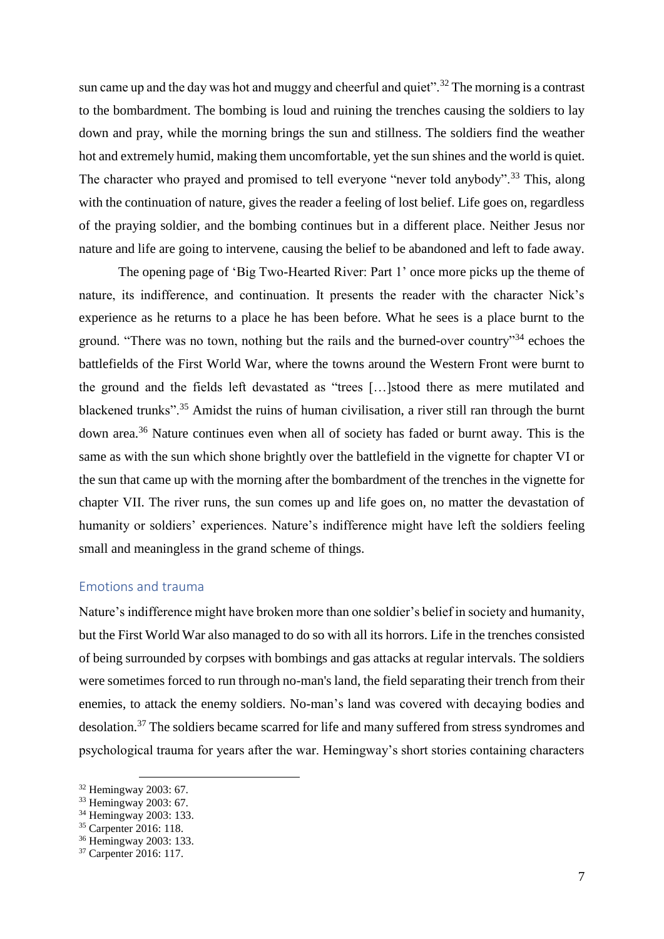sun came up and the day was hot and muggy and cheerful and quiet".<sup>32</sup> The morning is a contrast to the bombardment. The bombing is loud and ruining the trenches causing the soldiers to lay down and pray, while the morning brings the sun and stillness. The soldiers find the weather hot and extremely humid, making them uncomfortable, yet the sun shines and the world is quiet. The character who prayed and promised to tell everyone "never told anybody".<sup>33</sup> This, along with the continuation of nature, gives the reader a feeling of lost belief. Life goes on, regardless of the praying soldier, and the bombing continues but in a different place. Neither Jesus nor nature and life are going to intervene, causing the belief to be abandoned and left to fade away.

The opening page of 'Big Two-Hearted River: Part 1' once more picks up the theme of nature, its indifference, and continuation. It presents the reader with the character Nick's experience as he returns to a place he has been before. What he sees is a place burnt to the ground. "There was no town, nothing but the rails and the burned-over country"<sup>34</sup> echoes the battlefields of the First World War, where the towns around the Western Front were burnt to the ground and the fields left devastated as "trees […]stood there as mere mutilated and blackened trunks".<sup>35</sup> Amidst the ruins of human civilisation, a river still ran through the burnt down area.<sup>36</sup> Nature continues even when all of society has faded or burnt away. This is the same as with the sun which shone brightly over the battlefield in the vignette for chapter VI or the sun that came up with the morning after the bombardment of the trenches in the vignette for chapter VII. The river runs, the sun comes up and life goes on, no matter the devastation of humanity or soldiers' experiences. Nature's indifference might have left the soldiers feeling small and meaningless in the grand scheme of things.

### <span id="page-6-0"></span>Emotions and trauma

Nature's indifference might have broken more than one soldier's belief in society and humanity, but the First World War also managed to do so with all its horrors. Life in the trenches consisted of being surrounded by corpses with bombings and gas attacks at regular intervals. The soldiers were sometimes forced to run through no-man's land, the field separating their trench from their enemies, to attack the enemy soldiers. No-man's land was covered with decaying bodies and desolation.<sup>37</sup> The soldiers became scarred for life and many suffered from stress syndromes and psychological trauma for years after the war. Hemingway's short stories containing characters

 $\overline{a}$ <sup>32</sup> Hemingway 2003: 67.

<sup>33</sup> Hemingway 2003: 67.

<sup>34</sup> Hemingway 2003: 133.

<sup>35</sup> Carpenter 2016: 118.

<sup>36</sup> Hemingway 2003: 133.

<sup>37</sup> Carpenter 2016: 117.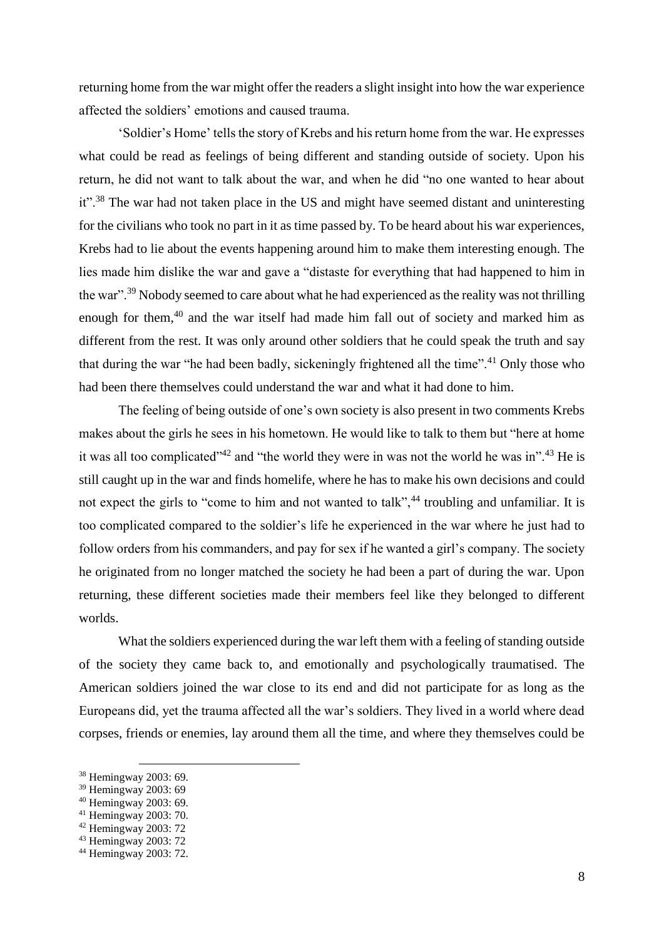returning home from the war might offer the readers a slight insight into how the war experience affected the soldiers' emotions and caused trauma.

'Soldier's Home' tells the story of Krebs and his return home from the war. He expresses what could be read as feelings of being different and standing outside of society. Upon his return, he did not want to talk about the war, and when he did "no one wanted to hear about it".<sup>38</sup> The war had not taken place in the US and might have seemed distant and uninteresting for the civilians who took no part in it as time passed by. To be heard about his war experiences, Krebs had to lie about the events happening around him to make them interesting enough. The lies made him dislike the war and gave a "distaste for everything that had happened to him in the war".<sup>39</sup> Nobody seemed to care about what he had experienced as the reality was not thrilling enough for them,<sup>40</sup> and the war itself had made him fall out of society and marked him as different from the rest. It was only around other soldiers that he could speak the truth and say that during the war "he had been badly, sickeningly frightened all the time".<sup>41</sup> Only those who had been there themselves could understand the war and what it had done to him.

The feeling of being outside of one's own society is also present in two comments Krebs makes about the girls he sees in his hometown. He would like to talk to them but "here at home it was all too complicated"<sup>42</sup> and "the world they were in was not the world he was in".<sup>43</sup> He is still caught up in the war and finds homelife, where he has to make his own decisions and could not expect the girls to "come to him and not wanted to talk",<sup>44</sup> troubling and unfamiliar. It is too complicated compared to the soldier's life he experienced in the war where he just had to follow orders from his commanders, and pay for sex if he wanted a girl's company. The society he originated from no longer matched the society he had been a part of during the war. Upon returning, these different societies made their members feel like they belonged to different worlds.

What the soldiers experienced during the war left them with a feeling of standing outside of the society they came back to, and emotionally and psychologically traumatised. The American soldiers joined the war close to its end and did not participate for as long as the Europeans did, yet the trauma affected all the war's soldiers. They lived in a world where dead corpses, friends or enemies, lay around them all the time, and where they themselves could be

 $\overline{a}$ <sup>38</sup> Hemingway 2003: 69.

<sup>39</sup> Hemingway 2003: 69

<sup>40</sup> Hemingway 2003: 69.

<sup>41</sup> Hemingway 2003: 70.

<sup>42</sup> Hemingway 2003: 72

<sup>43</sup> Hemingway 2003: 72

<sup>44</sup> Hemingway 2003: 72.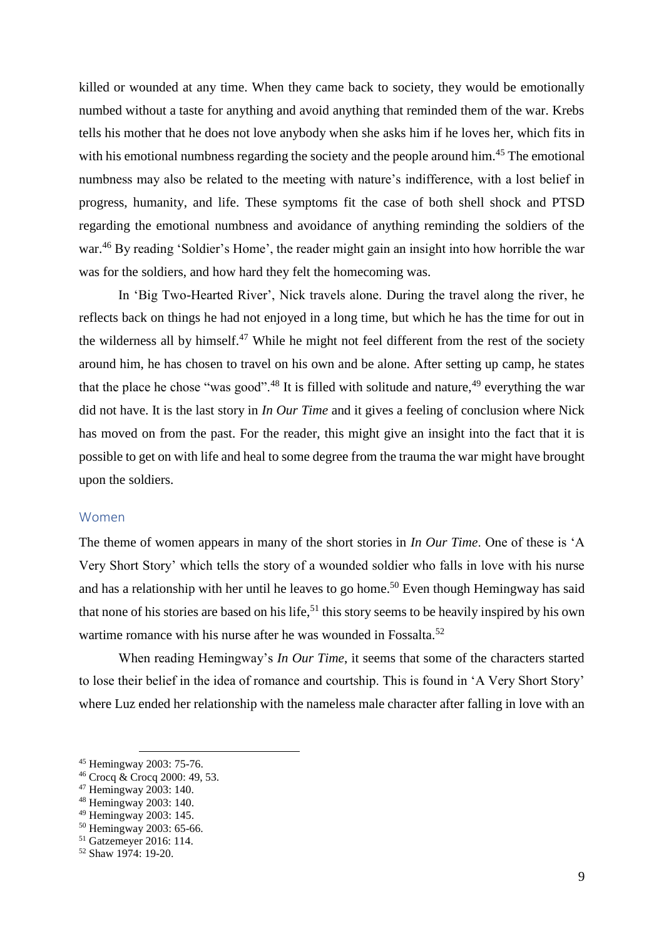killed or wounded at any time. When they came back to society, they would be emotionally numbed without a taste for anything and avoid anything that reminded them of the war. Krebs tells his mother that he does not love anybody when she asks him if he loves her, which fits in with his emotional numbness regarding the society and the people around him.<sup>45</sup> The emotional numbness may also be related to the meeting with nature's indifference, with a lost belief in progress, humanity, and life. These symptoms fit the case of both shell shock and PTSD regarding the emotional numbness and avoidance of anything reminding the soldiers of the war.<sup>46</sup> By reading 'Soldier's Home', the reader might gain an insight into how horrible the war was for the soldiers, and how hard they felt the homecoming was.

In 'Big Two-Hearted River', Nick travels alone. During the travel along the river, he reflects back on things he had not enjoyed in a long time, but which he has the time for out in the wilderness all by himself.<sup>47</sup> While he might not feel different from the rest of the society around him, he has chosen to travel on his own and be alone. After setting up camp, he states that the place he chose "was good".<sup>48</sup> It is filled with solitude and nature,  $49$  everything the war did not have. It is the last story in *In Our Time* and it gives a feeling of conclusion where Nick has moved on from the past. For the reader, this might give an insight into the fact that it is possible to get on with life and heal to some degree from the trauma the war might have brought upon the soldiers.

#### <span id="page-8-0"></span>Women

The theme of women appears in many of the short stories in *In Our Time*. One of these is 'A Very Short Story' which tells the story of a wounded soldier who falls in love with his nurse and has a relationship with her until he leaves to go home.<sup>50</sup> Even though Hemingway has said that none of his stories are based on his life,<sup>51</sup> this story seems to be heavily inspired by his own wartime romance with his nurse after he was wounded in Fossalta.<sup>52</sup>

When reading Hemingway's *In Our Time*, it seems that some of the characters started to lose their belief in the idea of romance and courtship. This is found in 'A Very Short Story' where Luz ended her relationship with the nameless male character after falling in love with an

 $\overline{a}$ <sup>45</sup> Hemingway 2003: 75-76.

<sup>46</sup> Crocq & Crocq 2000: 49, 53.

<sup>47</sup> Hemingway 2003: 140.

<sup>48</sup> Hemingway 2003: 140.

<sup>49</sup> Hemingway 2003: 145.

<sup>50</sup> Hemingway 2003: 65-66.

<sup>51</sup> Gatzemeyer 2016: 114.

<sup>52</sup> Shaw 1974: 19-20.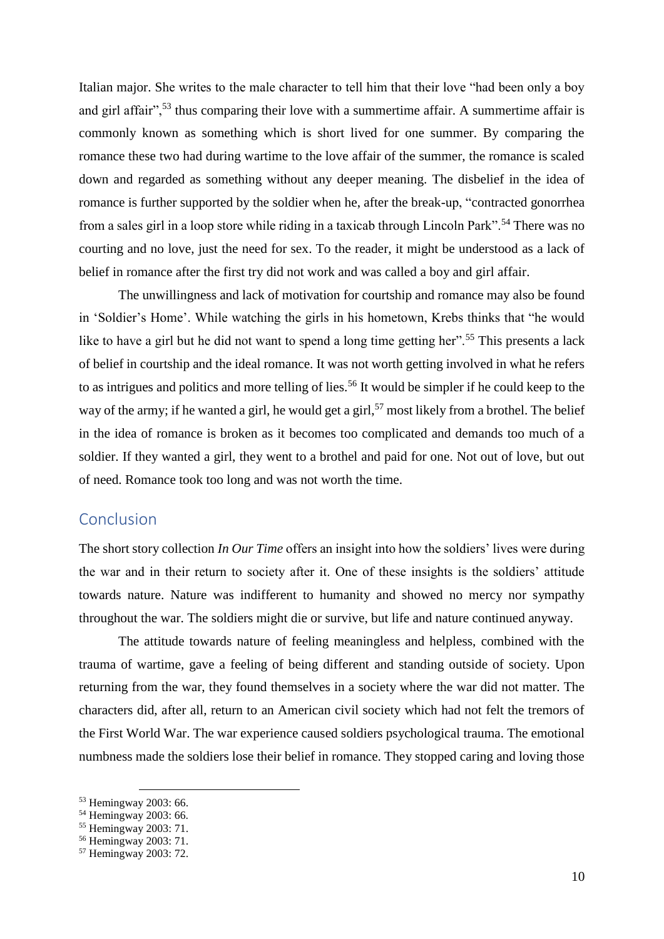Italian major. She writes to the male character to tell him that their love "had been only a boy and girl affair",<sup>53</sup> thus comparing their love with a summertime affair. A summertime affair is commonly known as something which is short lived for one summer. By comparing the romance these two had during wartime to the love affair of the summer, the romance is scaled down and regarded as something without any deeper meaning. The disbelief in the idea of romance is further supported by the soldier when he, after the break-up, "contracted gonorrhea from a sales girl in a loop store while riding in a taxicab through Lincoln Park".<sup>54</sup> There was no courting and no love, just the need for sex. To the reader, it might be understood as a lack of belief in romance after the first try did not work and was called a boy and girl affair.

The unwillingness and lack of motivation for courtship and romance may also be found in 'Soldier's Home'. While watching the girls in his hometown, Krebs thinks that "he would like to have a girl but he did not want to spend a long time getting her".<sup>55</sup> This presents a lack of belief in courtship and the ideal romance. It was not worth getting involved in what he refers to as intrigues and politics and more telling of lies.<sup>56</sup> It would be simpler if he could keep to the way of the army; if he wanted a girl, he would get a girl,<sup>57</sup> most likely from a brothel. The belief in the idea of romance is broken as it becomes too complicated and demands too much of a soldier. If they wanted a girl, they went to a brothel and paid for one. Not out of love, but out of need. Romance took too long and was not worth the time.

### <span id="page-9-0"></span>Conclusion

The short story collection *In Our Time* offers an insight into how the soldiers' lives were during the war and in their return to society after it. One of these insights is the soldiers' attitude towards nature. Nature was indifferent to humanity and showed no mercy nor sympathy throughout the war. The soldiers might die or survive, but life and nature continued anyway.

The attitude towards nature of feeling meaningless and helpless, combined with the trauma of wartime, gave a feeling of being different and standing outside of society. Upon returning from the war, they found themselves in a society where the war did not matter. The characters did, after all, return to an American civil society which had not felt the tremors of the First World War. The war experience caused soldiers psychological trauma. The emotional numbness made the soldiers lose their belief in romance. They stopped caring and loving those

 $\overline{a}$ <sup>53</sup> Hemingway 2003: 66.

<sup>54</sup> Hemingway 2003: 66.

<sup>55</sup> Hemingway 2003: 71.

<sup>56</sup> Hemingway 2003: 71.

<sup>57</sup> Hemingway 2003: 72.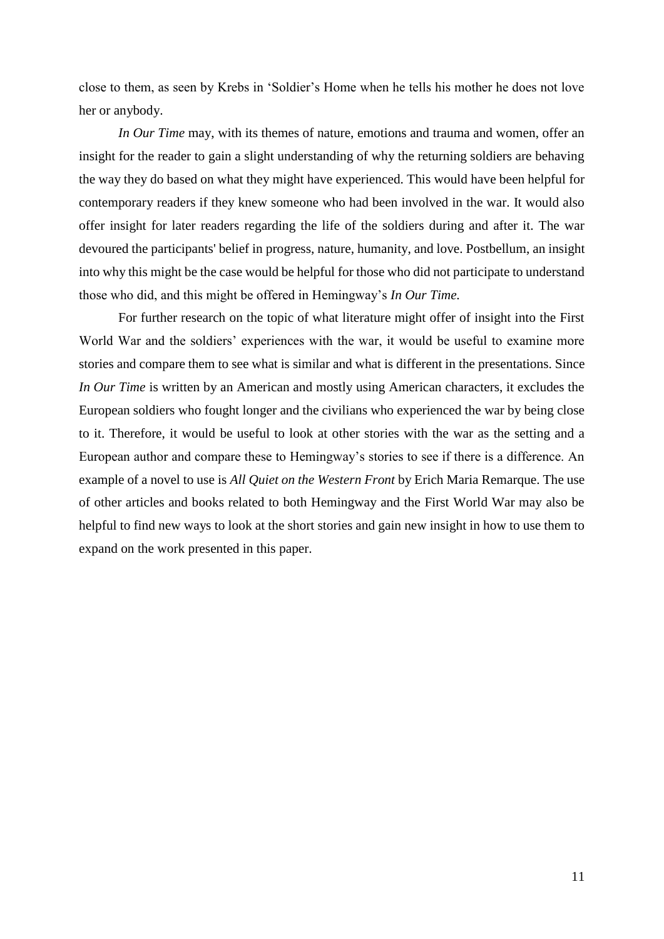close to them, as seen by Krebs in 'Soldier's Home when he tells his mother he does not love her or anybody.

*In Our Time* may, with its themes of nature, emotions and trauma and women, offer an insight for the reader to gain a slight understanding of why the returning soldiers are behaving the way they do based on what they might have experienced. This would have been helpful for contemporary readers if they knew someone who had been involved in the war. It would also offer insight for later readers regarding the life of the soldiers during and after it. The war devoured the participants' belief in progress, nature, humanity, and love. Postbellum, an insight into why this might be the case would be helpful for those who did not participate to understand those who did, and this might be offered in Hemingway's *In Our Time.* 

For further research on the topic of what literature might offer of insight into the First World War and the soldiers' experiences with the war, it would be useful to examine more stories and compare them to see what is similar and what is different in the presentations. Since *In Our Time* is written by an American and mostly using American characters, it excludes the European soldiers who fought longer and the civilians who experienced the war by being close to it. Therefore, it would be useful to look at other stories with the war as the setting and a European author and compare these to Hemingway's stories to see if there is a difference. An example of a novel to use is *All Quiet on the Western Front* by Erich Maria Remarque. The use of other articles and books related to both Hemingway and the First World War may also be helpful to find new ways to look at the short stories and gain new insight in how to use them to expand on the work presented in this paper.